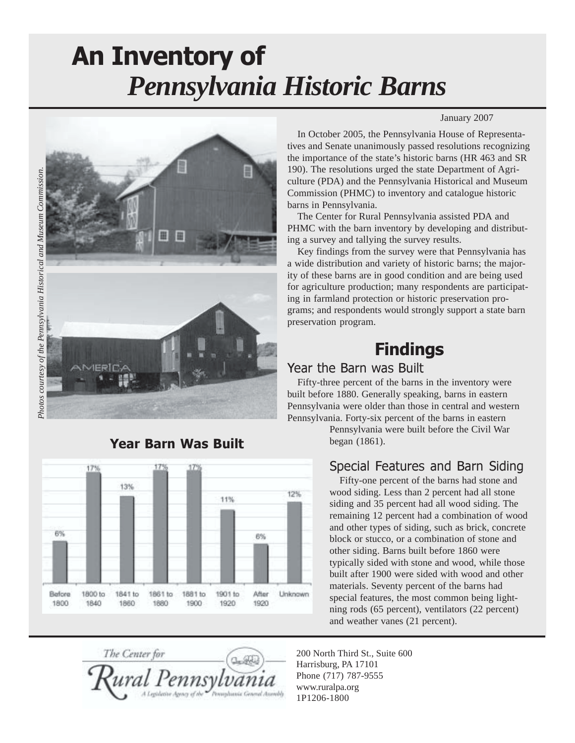# *Pennsylvania Historic Barns* An Inventory of



#### 17% 13% 12% 11% 6% **R%** Before 1800 to 1841 to 1861 to 1881 to 1901 to After Unknown 1800 1840 1860 1880 1900 1920 1920

#### Year Barn Was Built

#### January 2007

In October 2005, the Pennsylvania House of Representatives and Senate unanimously passed resolutions recognizing the importance of the state's historic barns (HR 463 and SR 190). The resolutions urged the state Department of Agriculture (PDA) and the Pennsylvania Historical and Museum Commission (PHMC) to inventory and catalogue historic barns in Pennsylvania.

The Center for Rural Pennsylvania assisted PDA and PHMC with the barn inventory by developing and distributing a survey and tallying the survey results.

Key findings from the survey were that Pennsylvania has a wide distribution and variety of historic barns; the majority of these barns are in good condition and are being used for agriculture production; many respondents are participating in farmland protection or historic preservation programs; and respondents would strongly support a state barn preservation program.

# **Findings**

#### Year the Barn was Built

Fifty-three percent of the barns in the inventory were built before 1880. Generally speaking, barns in eastern Pennsylvania were older than those in central and western Pennsylvania. Forty-six percent of the barns in eastern

> Pennsylvania were built before the Civil War began (1861).

#### Special Features and Barn Siding

Fifty-one percent of the barns had stone and wood siding. Less than 2 percent had all stone siding and 35 percent had all wood siding. The remaining 12 percent had a combination of wood and other types of siding, such as brick, concrete block or stucco, or a combination of stone and other siding. Barns built before 1860 were typically sided with stone and wood, while those built after 1900 were sided with wood and other materials. Seventy percent of the barns had special features, the most common being lightning rods (65 percent), ventilators (22 percent) and weather vanes (21 percent).

The Center for

200 North Third St., Suite 600 Harrisburg, PA 17101 Phone (717) 787-9555 www.ruralpa.org 1P1206-1800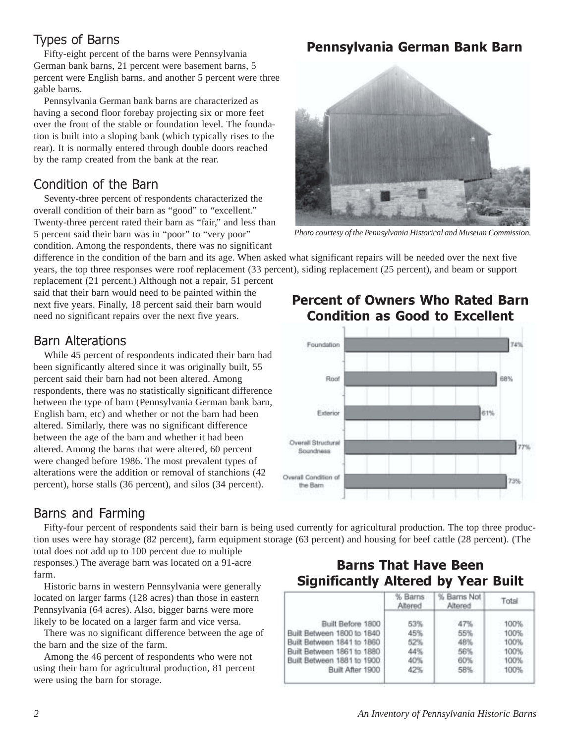# Types of Barns

Fifty-eight percent of the barns were Pennsylvania German bank barns, 21 percent were basement barns, 5 percent were English barns, and another 5 percent were three gable barns.

Pennsylvania German bank barns are characterized as having a second floor forebay projecting six or more feet over the front of the stable or foundation level. The foundation is built into a sloping bank (which typically rises to the rear). It is normally entered through double doors reached by the ramp created from the bank at the rear.

# Condition of the Barn

Seventy-three percent of respondents characterized the overall condition of their barn as "good" to "excellent." Twenty-three percent rated their barn as "fair," and less than 5 percent said their barn was in "poor" to "very poor" condition. Among the respondents, there was no significant

# Pennsylvania German Bank Barn



*Photo courtesy of the Pennsylvania Historical and Museum Commission.*

Percent of Owners Who Rated Barn Condition as Good to Excellent

difference in the condition of the barn and its age. When asked what significant repairs will be needed over the next five years, the top three responses were roof replacement (33 percent), siding replacement (25 percent), and beam or support

replacement (21 percent.) Although not a repair, 51 percent said that their barn would need to be painted within the next five years. Finally, 18 percent said their barn would need no significant repairs over the next five years.

### Barn Alterations

While 45 percent of respondents indicated their barn had been significantly altered since it was originally built, 55 percent said their barn had not been altered. Among respondents, there was no statistically significant difference between the type of barn (Pennsylvania German bank barn, English barn, etc) and whether or not the barn had been altered. Similarly, there was no significant difference between the age of the barn and whether it had been altered. Among the barns that were altered, 60 percent were changed before 1986. The most prevalent types of alterations were the addition or removal of stanchions (42 percent), horse stalls (36 percent), and silos (34 percent).

#### Foundation 74% Roof 68% Exterior 61% Overall Structural Soundness Overall Condition of 73% the Barn

# Barns and Farming

Fifty-four percent of respondents said their barn is being used currently for agricultural production. The top three production uses were hay storage (82 percent), farm equipment storage (63 percent) and housing for beef cattle (28 percent). (The total does not add up to 100 percent due to multiple

responses.) The average barn was located on a 91-acre farm.

Historic barns in western Pennsylvania were generally located on larger farms (128 acres) than those in eastern Pennsylvania (64 acres). Also, bigger barns were more likely to be located on a larger farm and vice versa.

There was no significant difference between the age of the barn and the size of the farm.

Among the 46 percent of respondents who were not using their barn for agricultural production, 81 percent were using the barn for storage.

# Barns That Have Been Significantly Altered by Year Built

|                            | % Barns<br>Altered | Barns Not<br>Altered | Total |
|----------------------------|--------------------|----------------------|-------|
| Built Before 1800          | 53%                | 47%                  | 100%  |
| Built Between 1800 to 1840 | 45%                | 55%                  | 100%  |
| Built Between 1841 to 1860 | 52%                | 48%                  | 100%  |
| Built Between 1861 to 1880 | 44%                | 56%                  | 100%  |
| Built Between 1881 to 1900 | 40%                | 60%                  | 100%  |
| Built After 1900           | 42%                | 58%                  | 100%  |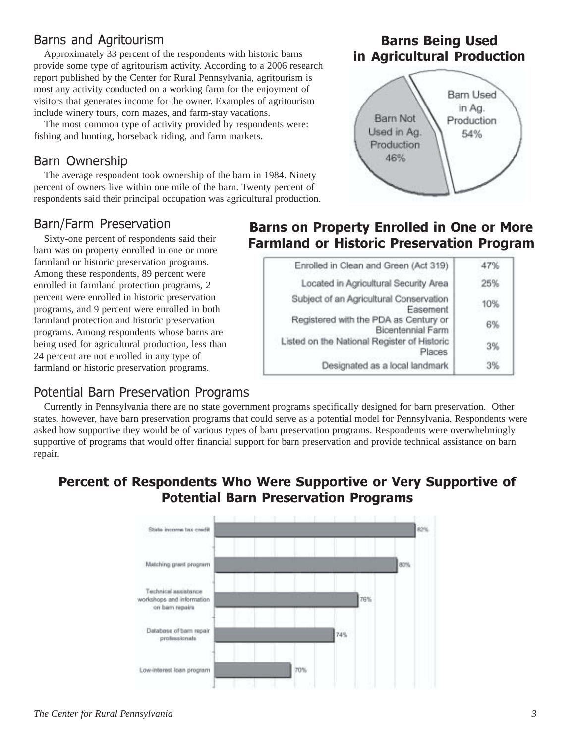# Barns and Agritourism

Approximately 33 percent of the respondents with historic barns provide some type of agritourism activity. According to a 2006 research report published by the Center for Rural Pennsylvania, agritourism is most any activity conducted on a working farm for the enjoyment of visitors that generates income for the owner. Examples of agritourism include winery tours, corn mazes, and farm-stay vacations.

The most common type of activity provided by respondents were: fishing and hunting, horseback riding, and farm markets.

#### Barn Ownership

The average respondent took ownership of the barn in 1984. Ninety percent of owners live within one mile of the barn. Twenty percent of respondents said their principal occupation was agricultural production.

#### Barn/Farm Preservation

Sixty-one percent of respondents said their barn was on property enrolled in one or more farmland or historic preservation programs. Among these respondents, 89 percent were enrolled in farmland protection programs, 2 percent were enrolled in historic preservation programs, and 9 percent were enrolled in both farmland protection and historic preservation programs. Among respondents whose barns are being used for agricultural production, less than 24 percent are not enrolled in any type of farmland or historic preservation programs.

#### Potential Barn Preservation Programs

# Barns on Property Enrolled in One or More Farmland or Historic Preservation Program

| Enrolled in Clean and Green (Act 319)                      | 47% |
|------------------------------------------------------------|-----|
| Located in Agricultural Security Area                      | 25% |
| Subject of an Agricultural Conservation<br>Easement        | 10% |
| Registered with the PDA as Century or<br>Bicentennial Farm | 6%  |
| Listed on the National Register of Historic<br>Places      | 3%  |
| Designated as a local landmark                             |     |

Currently in Pennsylvania there are no state government programs specifically designed for barn preservation. Other states, however, have barn preservation programs that could serve as a potential model for Pennsylvania. Respondents were asked how supportive they would be of various types of barn preservation programs. Respondents were overwhelmingly supportive of programs that would offer financial support for barn preservation and provide technical assistance on barn repair.

#### Percent of Respondents Who Were Supportive or Very Supportive of Potential Barn Preservation Programs



### Barns Being Used in Agricultural Production